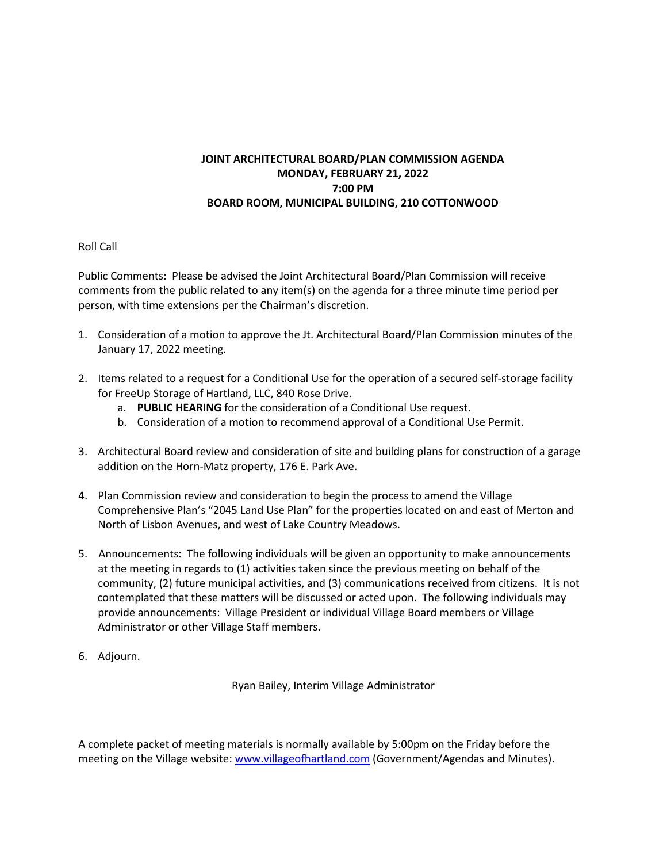## **JOINT ARCHITECTURAL BOARD/PLAN COMMISSION AGENDA MONDAY, FEBRUARY 21, 2022 7:00 PM BOARD ROOM, MUNICIPAL BUILDING, 210 COTTONWOOD**

## Roll Call

Public Comments: Please be advised the Joint Architectural Board/Plan Commission will receive comments from the public related to any item(s) on the agenda for a three minute time period per person, with time extensions per the Chairman's discretion.

- 1. Consideration of a motion to approve the Jt. Architectural Board/Plan Commission minutes of the January 17, 2022 meeting.
- 2. Items related to a request for a Conditional Use for the operation of a secured self-storage facility for FreeUp Storage of Hartland, LLC, 840 Rose Drive.
	- a. **PUBLIC HEARING** for the consideration of a Conditional Use request.
	- b. Consideration of a motion to recommend approval of a Conditional Use Permit.
- 3. Architectural Board review and consideration of site and building plans for construction of a garage addition on the Horn-Matz property, 176 E. Park Ave.
- 4. Plan Commission review and consideration to begin the process to amend the Village Comprehensive Plan's "2045 Land Use Plan" for the properties located on and east of Merton and North of Lisbon Avenues, and west of Lake Country Meadows.
- 5. Announcements: The following individuals will be given an opportunity to make announcements at the meeting in regards to (1) activities taken since the previous meeting on behalf of the community, (2) future municipal activities, and (3) communications received from citizens. It is not contemplated that these matters will be discussed or acted upon. The following individuals may provide announcements: Village President or individual Village Board members or Village Administrator or other Village Staff members.
- 6. Adjourn.

Ryan Bailey, Interim Village Administrator

A complete packet of meeting materials is normally available by 5:00pm on the Friday before the meeting on the Village website[: www.villageofhartland.com](http://www.villageofhartland.com/index.aspx?nid=103) (Government/Agendas and Minutes).